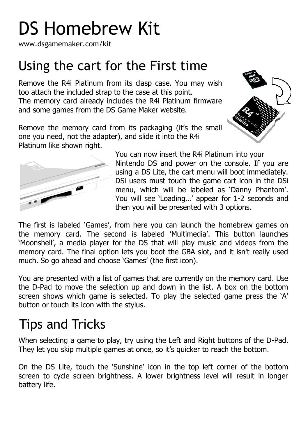# DS Homebrew Kit

www.dsgamemaker.com/kit

#### Using the cart for the First time

Remove the R4i Platinum from its clasp case. You may wish too attach the included strap to the case at this point. The memory card already includes the R4i Platinum firmware and some games from the DS Game Maker website.

Remove the memory card from its packaging (it's the small one you need, not the adapter), and slide it into the R4i Platinum like shown right.





You can now insert the R4i Platinum into your Nintendo DS and power on the console. If you are using a DS Lite, the cart menu will boot immediately. DSi users must touch the game cart icon in the DSi menu, which will be labeled as "Danny Phantom". You will see "Loading…" appear for 1-2 seconds and then you will be presented with 3 options.

The first is labeled "Games", from here you can launch the homebrew games on the memory card. The second is labeled "Multimedia". This button launches "Moonshell", a media player for the DS that will play music and videos from the memory card. The final option lets you boot the GBA slot, and it isn't really used much. So go ahead and choose "Games" (the first icon).

You are presented with a list of games that are currently on the memory card. Use the D-Pad to move the selection up and down in the list. A box on the bottom screen shows which game is selected. To play the selected game press the "A" button or touch its icon with the stylus.

### Tips and Tricks

When selecting a game to play, try using the Left and Right buttons of the D-Pad. They let you skip multiple games at once, so it's quicker to reach the bottom.

On the DS Lite, touch the "Sunshine" icon in the top left corner of the bottom screen to cycle screen brightness. A lower brightness level will result in longer battery life.